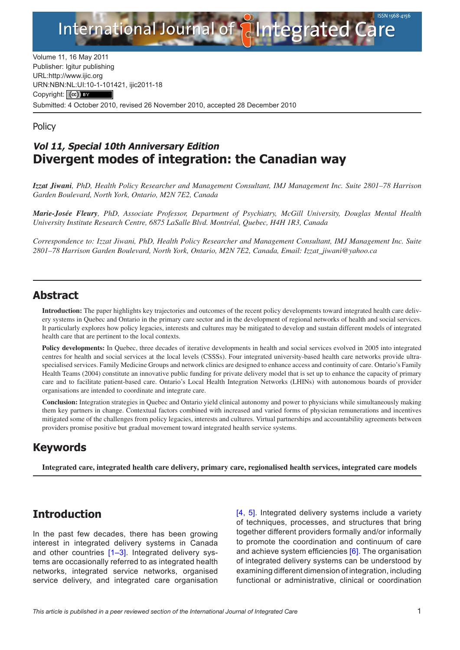

Volume 11, 16 May 2011 Publisher: Igitur publishing URL[:http://www.ijic.org](http://www.ijic.org) URN:NBN[:NL:UI:10-1-1014](http://creativecommons.org/licenses/by/3.0/)21, ijic2011-18 Copyright: (cc) Submitted: 4 October 2010, revised 26 November 2010, accepted 28 December 2010

#### **Policy**

### **Vol 11, Special 10th Anniversary Edition Divergent modes of integration: the Canadian way**

*Izzat Jiwani, PhD, Health Policy Researcher and Management Consultant, IMJ Management Inc. Suite 2801–78 Harrison Garden Boulevard, North York, Ontario, M2N 7E2, Canada*

*Marie-Josée Fleury, PhD, Associate Professor, Department of Psychiatry, McGill University, Douglas Mental Health University Institute Research Centre, 6875 LaSalle Blvd. Montréal, Quebec, H4H 1R3, Canada*

*Correspondence to: Izzat Jiwani, PhD, Health Policy Researcher and Management Consultant, IMJ Management Inc. Suite 2801–78 Harrison Garden Boulevard, North York, Ontario, M2N 7E2, Canada, Email: [Izzat\\_jiwani@yahoo.ca](mailto:Izzat_jiwani@yahoo.ca)*

#### **Abstract**

**Introduction:** The paper highlights key trajectories and outcomes of the recent policy developments toward integrated health care delivery systems in Quebec and Ontario in the primary care sector and in the development of regional networks of health and social services. It particularly explores how policy legacies, interests and cultures may be mitigated to develop and sustain different models of integrated health care that are pertinent to the local contexts.

**Policy developments:** In Quebec, three decades of iterative developments in health and social services evolved in 2005 into integrated centres for health and social services at the local levels (CSSSs). Four integrated university-based health care networks provide ultraspecialised services. Family Medicine Groups and network clinics are designed to enhance access and continuity of care. Ontario's Family Health Teams (2004) constitute an innovative public funding for private delivery model that is set up to enhance the capacity of primary care and to facilitate patient-based care. Ontario's Local Health Integration Networks (LHINs) with autonomous boards of provider organisations are intended to coordinate and integrate care.

**Conclusion:** Integration strategies in Quebec and Ontario yield clinical autonomy and power to physicians while simultaneously making them key partners in change. Contextual factors combined with increased and varied forms of physician remunerations and incentives mitigated some of the challenges from policy legacies, interests and cultures. Virtual partnerships and accountability agreements between providers promise positive but gradual movement toward integrated health service systems.

### **Keywords**

**Integrated care, integrated health care delivery, primary care, regionalised health services, integrated care models**

# **Introduction**

In the past few decades, there has been growing interest in integrated delivery systems in Canada and other countries [[1–3](#page-8-0)]. Integrated delivery systems are occasionally referred to as integrated health networks, integrated service networks, organised service delivery, and integrated care organisation

[[4,](#page-8-0) [5](#page-8-0)]. Integrated delivery systems include a variety of techniques, processes, and structures that bring together different providers formally and/or informally to promote the coordination and continuum of care and achieve system efficiencies [\[6](#page-8-0)]. The organisation of integrated delivery systems can be understood by examining different dimension of integration, including functional or administrative, clinical or coordination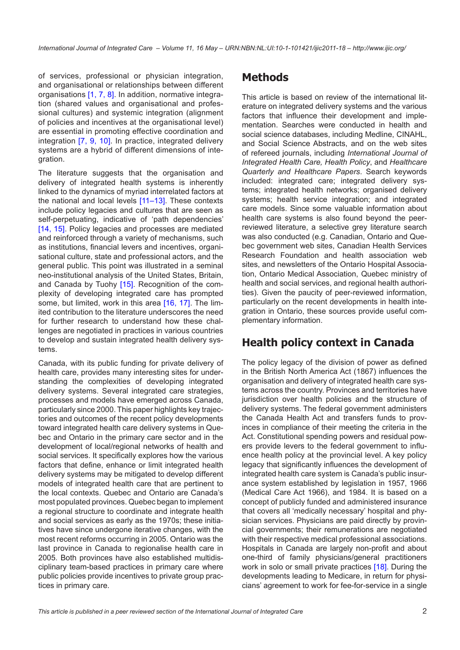of services, professional or physician integration, and organisational or relationships between different organisations [[1](#page-8-0), [7, 8\]](#page-8-0). In addition, normative integration (shared values and organisational and professional cultures) and systemic integration (alignment of policies and incentives at the organisational level) are essential in promoting effective coordination and integration [\[7](#page-8-0), [9](#page-8-0), [10](#page-8-0)]. In practice, integrated delivery systems are a hybrid of different dimensions of integration.

The literature suggests that the organisation and delivery of integrated health systems is inherently linked to the dynamics of myriad interrelated factors at the national and local levels [\[11–](#page-8-0)[13\]](#page-9-0). These contexts include policy legacies and cultures that are seen as self-perpetuating, indicative of 'path dependencies' [\[14,](#page-9-0) [15\]](#page-9-0). Policy legacies and processes are mediated and reinforced through a variety of mechanisms, such as institutions, financial levers and incentives, organisational culture, state and professional actors, and the general public. This point was illustrated in a seminal neo-institutional analysis of the United States, Britain, and Canada by Tuohy [\[15\]](#page-9-0). Recognition of the complexity of developing integrated care has prompted some, but limited, work in this area [[16,](#page-9-0) [17](#page-9-0)]. The limited contribution to the literature underscores the need for further research to understand how these challenges are negotiated in practices in various countries to develop and sustain integrated health delivery systems.

Canada, with its public funding for private delivery of health care, provides many interesting sites for understanding the complexities of developing integrated delivery systems. Several integrated care strategies, processes and models have emerged across Canada, particularly since 2000. This paper highlights key trajectories and outcomes of the recent policy developments toward integrated health care delivery systems in Quebec and Ontario in the primary care sector and in the development of local/regional networks of health and social services. It specifically explores how the various factors that define, enhance or limit integrated health delivery systems may be mitigated to develop different models of integrated health care that are pertinent to the local contexts. Quebec and Ontario are Canada's most populated provinces. Quebec began to implement a regional structure to coordinate and integrate health and social services as early as the 1970s; these initiatives have since undergone iterative changes, with the most recent reforms occurring in 2005. Ontario was the last province in Canada to regionalise health care in 2005. Both provinces have also established multidisciplinary team-based practices in primary care where public policies provide incentives to private group practices in primary care.

# **Methods**

This article is based on review of the international literature on integrated delivery systems and the various factors that influence their development and implementation. Searches were conducted in health and social science databases, including Medline, CINAHL, and Social Science Abstracts, and on the web sites of refereed journals, including *International Journal of Integrated Health Care, Health Policy*, and *Healthcare Quarterly and Healthcare Papers*. Search keywords included: integrated care; integrated delivery systems; integrated health networks; organised delivery systems; health service integration; and integrated care models. Since some valuable information about health care systems is also found beyond the peerreviewed literature, a selective grey literature search was also conducted (e.g. Canadian, Ontario and Quebec government web sites, Canadian Health Services Research Foundation and health association web sites, and newsletters of the Ontario Hospital Association, Ontario Medical Association, Quebec ministry of health and social services, and regional health authorities). Given the paucity of peer-reviewed information, particularly on the recent developments in health integration in Ontario, these sources provide useful complementary information.

# **Health policy context in Canada**

The policy legacy of the division of power as defined in the British North America Act (1867) influences the organisation and delivery of integrated health care systems across the country. Provinces and territories have jurisdiction over health policies and the structure of delivery systems. The federal government administers the Canada Health Act and transfers funds to provinces in compliance of their meeting the criteria in the Act. Constitutional spending powers and residual powers provide levers to the federal government to influence health policy at the provincial level. A key policy legacy that significantly influences the development of integrated health care system is Canada's public insurance system established by legislation in 1957, 1966 (Medical Care Act 1966), and 1984. It is based on a concept of publicly funded and administered insurance that covers all 'medically necessary' hospital and physician services. Physicians are paid directly by provincial governments; their remunerations are negotiated with their respective medical professional associations. Hospitals in Canada are largely non-profit and about one-third of family physicians/general practitioners work in solo or small private practices [[18\]](#page-9-0). During the developments leading to Medicare, in return for physicians' agreement to work for fee-for-service in a single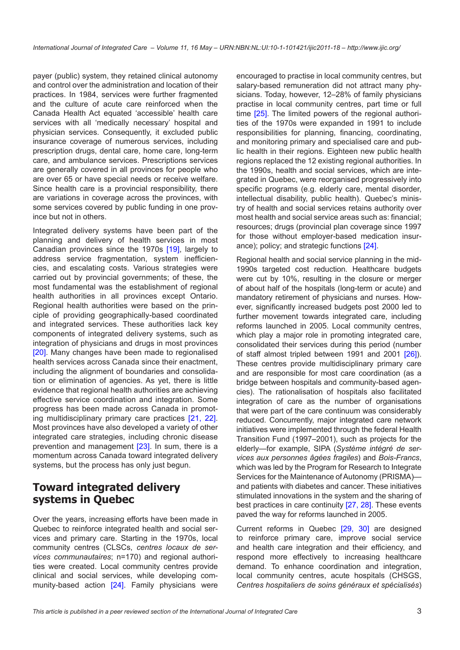payer (public) system, they retained clinical autonomy and control over the administration and location of their practices. In 1984, services were further fragmented and the culture of acute care reinforced when the Canada Health Act equated 'accessible' health care services with all 'medically necessary' hospital and physician services. Consequently, it excluded public insurance coverage of numerous services, including prescription drugs, dental care, home care, long-term care, and ambulance services. Prescriptions services are generally covered in all provinces for people who are over 65 or have special needs or receive welfare. Since health care is a provincial responsibility, there are variations in coverage across the provinces, with some services covered by public funding in one province but not in others.

Integrated delivery systems have been part of the planning and delivery of health services in most Canadian provinces since the 1970s [\[19\]](#page-9-0), largely to address service fragmentation, system inefficiencies, and escalating costs. Various strategies were carried out by provincial governments; of these, the most fundamental was the establishment of regional health authorities in all provinces except Ontario. Regional health authorities were based on the principle of providing geographically-based coordinated and integrated services. These authorities lack key components of integrated delivery systems, such as integration of physicians and drugs in most provinces [\[20\]](#page-9-0). Many changes have been made to regionalised health services across Canada since their enactment, including the alignment of boundaries and consolidation or elimination of agencies. As yet, there is little evidence that regional health authorities are achieving effective service coordination and integration. Some progress has been made across Canada in promoting multidisciplinary primary care practices [[21,](#page-9-0) [22](#page-9-0)]. Most provinces have also developed a variety of other integrated care strategies, including chronic disease prevention and management [[23\]](#page-9-0). In sum, there is a momentum across Canada toward integrated delivery systems, but the process has only just begun.

### **Toward integrated delivery systems in Quebec**

Over the years, increasing efforts have been made in Quebec to reinforce integrated health and social services and primary care. Starting in the 1970s, local community centres (CLSCs, *centres locaux de services communautaires*; n=170) and regional authorities were created. Local community centres provide clinical and social services, while developing community-based action [\[24](#page-9-0)]. Family physicians were encouraged to practise in local community centres, but salary-based remuneration did not attract many physicians. Today, however, 12–28% of family physicians practise in local community centres, part time or full time [[25\]](#page-9-0). The limited powers of the regional authorities of the 1970s were expanded in 1991 to include responsibilities for planning, financing, coordinating, and monitoring primary and specialised care and public health in their regions. Eighteen new public health regions replaced the 12 existing regional authorities. In the 1990s, health and social services, which are integrated in Quebec, were reorganised progressively into specific programs (e.g. elderly care, mental disorder, intellectual disability, public health). Quebec's ministry of health and social services retains authority over most health and social service areas such as: financial; resources; drugs (provincial plan coverage since 1997 for those without employer-based medication insurance); policy; and strategic functions [\[24\]](#page-9-0).

Regional health and social service planning in the mid-1990s targeted cost reduction. Healthcare budgets were cut by 10%, resulting in the closure or merger of about half of the hospitals (long-term or acute) and mandatory retirement of physicians and nurses. However, significantly increased budgets post 2000 led to further movement towards integrated care, including reforms launched in 2005. Local community centres, which play a major role in promoting integrated care, consolidated their services during this period (number of staff almost tripled between 1991 and 2001 [[26\]](#page-9-0)). These centres provide multidisciplinary primary care and are responsible for most care coordination (as a bridge between hospitals and community-based agencies). The rationalisation of hospitals also facilitated integration of care as the number of organisations that were part of the care continuum was considerably reduced. Concurrently, major integrated care network initiatives were implemented through the federal Health Transition Fund (1997–2001), such as projects for the elderly—for example, SIPA (*Système intégré de services aux personnes âgées fragiles*) and *Bois-Francs*, which was led by the Program for Research to Integrate Services for the Maintenance of Autonomy (PRISMA) and patients with diabetes and cancer. These initiatives stimulated innovations in the system and the sharing of best practices in care continuity [\[27](#page-9-0), [28\]](#page-9-0). These events paved the way for reforms launched in 2005.

Current reforms in Quebec [\[29](#page-9-0), [30](#page-9-0)] are designed to reinforce primary care, improve social service and health care integration and their efficiency, and respond more effectively to increasing healthcare demand. To enhance coordination and integration, local community centres, acute hospitals (CHSGS, *Centres hospitaliers de soins généraux et spécialisés*)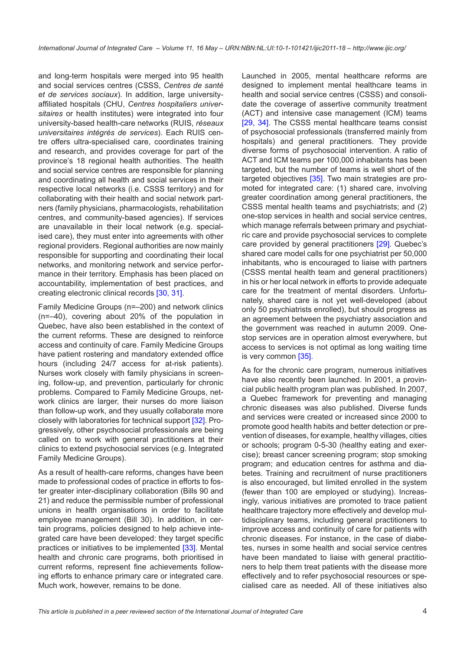and long-term hospitals were merged into 95 health and social services centres (CSSS, *Centres de santé et de services sociaux*). In addition, large universityaffiliated hospitals (CHU, *Centres hospitaliers universitaires* or health institutes) were integrated into four university-based health-care networks (RUIS, *réseaux universitaires intégrés de services*). Each RUIS centre offers ultra-specialised care, coordinates training and research, and provides coverage for part of the province's 18 regional health authorities. The health and social service centres are responsible for planning and coordinating all health and social services in their respective local networks (i.e. CSSS territory) and for collaborating with their health and social network partners (family physicians, pharmacologists, rehabilitation centres, and community-based agencies). If services are unavailable in their local network (e.g. specialised care), they must enter into agreements with other regional providers. Regional authorities are now mainly responsible for supporting and coordinating their local networks, and monitoring network and service performance in their territory. Emphasis has been placed on accountability, implementation of best practices, and creating electronic clinical records [\[30](#page-9-0), [31](#page-9-0)].

Family Medicine Groups (n=–200) and network clinics (n=–40), covering about 20% of the population in Quebec, have also been established in the context of the current reforms. These are designed to reinforce access and continuity of care. Family Medicine Groups have patient rostering and mandatory extended office hours (including 24/7 access for at-risk patients). Nurses work closely with family physicians in screening, follow-up, and prevention, particularly for chronic problems. Compared to Family Medicine Groups, network clinics are larger, their nurses do more liaison than follow-up work, and they usually collaborate more closely with laboratories for technical support [\[32](#page-9-0)]. Progressively, other psychosocial professionals are being called on to work with general practitioners at their clinics to extend psychosocial services (e.g. Integrated Family Medicine Groups).

As a result of health-care reforms, changes have been made to professional codes of practice in efforts to foster greater inter-disciplinary collaboration (Bills 90 and 21) and reduce the permissible number of professional unions in health organisations in order to facilitate employee management (Bill 30). In addition, in certain programs, policies designed to help achieve integrated care have been developed: they target specific practices or initiatives to be implemented [\[33](#page-9-0)]. Mental health and chronic care programs, both prioritised in current reforms, represent fine achievements following efforts to enhance primary care or integrated care. Much work, however, remains to be done.

Launched in 2005, mental healthcare reforms are designed to implement mental healthcare teams in health and social service centres (CSSS) and consolidate the coverage of assertive community treatment (ACT) and intensive case management (ICM) teams [[29](#page-9-0), [34\]](#page-9-0). The CSSS mental healthcare teams consist of psychosocial professionals (transferred mainly from hospitals) and general practitioners. They provide diverse forms of psychosocial intervention. A ratio of ACT and ICM teams per 100,000 inhabitants has been targeted, but the number of teams is well short of the targeted objectives [[35\]](#page-9-0). Two main strategies are promoted for integrated care: (1) shared care, involving greater coordination among general practitioners, the CSSS mental health teams and psychiatrists; and (2) one-stop services in health and social service centres, which manage referrals between primary and psychiatric care and provide psychosocial services to complete care provided by general practitioners [\[29](#page-9-0)]. Quebec's shared care model calls for one psychiatrist per 50,000 inhabitants, who is encouraged to liaise with partners (CSSS mental health team and general practitioners) in his or her local network in efforts to provide adequate care for the treatment of mental disorders. Unfortunately, shared care is not yet well-developed (about only 50 psychiatrists enrolled), but should progress as an agreement between the psychiatry association and the government was reached in autumn 2009. Onestop services are in operation almost everywhere, but access to services is not optimal as long waiting time is very common [[35\]](#page-9-0).

As for the chronic care program, numerous initiatives have also recently been launched. In 2001, a provincial public health program plan was published. In 2007, a Quebec framework for preventing and managing chronic diseases was also published. Diverse funds and services were created or increased since 2000 to promote good health habits and better detection or prevention of diseases, for example, healthy villages, cities or schools; program 0-5-30 (healthy eating and exercise); breast cancer screening program; stop smoking program; and education centres for asthma and diabetes. Training and recruitment of nurse practitioners is also encouraged, but limited enrolled in the system (fewer than 100 are employed or studying). Increasingly, various initiatives are promoted to trace patient healthcare trajectory more effectively and develop multidisciplinary teams, including general practitioners to improve access and continuity of care for patients with chronic diseases. For instance, in the case of diabetes, nurses in some health and social service centres have been mandated to liaise with general practitioners to help them treat patients with the disease more effectively and to refer psychosocial resources or specialised care as needed. All of these initiatives also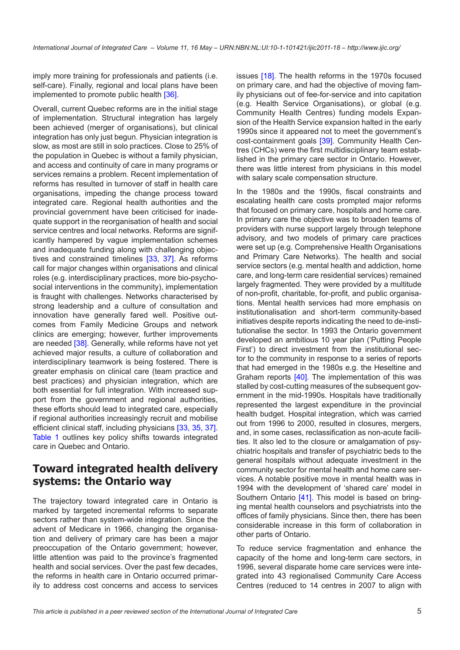imply more training for professionals and patients (i.e. self-care). Finally, regional and local plans have been implemented to promote public health [[36\]](#page-9-0).

Overall, current Quebec reforms are in the initial stage of implementation. Structural integration has largely been achieved (merger of organisations), but clinical integration has only just begun. Physician integration is slow, as most are still in solo practices. Close to 25% of the population in Quebec is without a family physician, and access and continuity of care in many programs or services remains a problem. Recent implementation of reforms has resulted in turnover of staff in health care organisations, impeding the change process toward integrated care. Regional health authorities and the provincial government have been criticised for inadequate support in the reorganisation of health and social service centres and local networks. Reforms are significantly hampered by vague implementation schemes and inadequate funding along with challenging objectives and constrained timelines [\[33,](#page-9-0) [37](#page-10-0)]. As reforms call for major changes within organisations and clinical roles (e.g. interdisciplinary practices, more bio-psychosocial interventions in the community), implementation is fraught with challenges. Networks characterised by strong leadership and a culture of consultation and innovation have generally fared well. Positive outcomes from Family Medicine Groups and network clinics are emerging; however, further improvements are needed [[38\]](#page-10-0). Generally, while reforms have not yet achieved major results, a culture of collaboration and interdisciplinary teamwork is being fostered. There is greater emphasis on clinical care (team practice and best practices) and physician integration, which are both essential for full integration. With increased support from the government and regional authorities, these efforts should lead to integrated care, especially if regional authorities increasingly recruit and mobilise efficient clinical staff, including physicians [[33,](#page-9-0) [35,](#page-9-0) [37\]](#page-10-0). [Table 1](#page-5-0) outlines key policy shifts towards integrated care in Quebec and Ontario.

#### **Toward integrated health delivery systems: the Ontario way**

The trajectory toward integrated care in Ontario is marked by targeted incremental reforms to separate sectors rather than system-wide integration. Since the advent of Medicare in 1966, changing the organisation and delivery of primary care has been a major preoccupation of the Ontario government; however, little attention was paid to the province's fragmented health and social services. Over the past few decades, the reforms in health care in Ontario occurred primarily to address cost concerns and access to services

issues [[18](#page-9-0)]. The health reforms in the 1970s focused on primary care, and had the objective of moving family physicians out of fee-for-service and into capitation (e.g. Health Service Organisations), or global (e.g. Community Health Centres) funding models Expansion of the Health Service expansion halted in the early 1990s since it appeared not to meet the government's cost-containment goals [\[39\]](#page-10-0). Community Health Centres (CHCs) were the first multidisciplinary team established in the primary care sector in Ontario. However, there was little interest from physicians in this model with salary scale compensation structure.

In the 1980s and the 1990s, fiscal constraints and escalating health care costs prompted major reforms that focused on primary care, hospitals and home care. In primary care the objective was to broaden teams of providers with nurse support largely through telephone advisory, and two models of primary care practices were set up (e.g. Comprehensive Health Organisations and Primary Care Networks). The health and social service sectors (e.g. mental health and addiction, home care, and long-term care residential services) remained largely fragmented. They were provided by a multitude of non-profit, charitable, for-profit, and public organisations. Mental health services had more emphasis on institutionalisation and short-term community-based initiatives despite reports indicating the need to de-institutionalise the sector. In 1993 the Ontario government developed an ambitious 10 year plan ('Putting People First') to direct investment from the institutional sector to the community in response to a series of reports that had emerged in the 1980s e.g. the Heseltine and Graham reports [[40\]](#page-10-0). The implementation of this was stalled by cost-cutting measures of the subsequent government in the mid-1990s. Hospitals have traditionally represented the largest expenditure in the provincial health budget. Hospital integration, which was carried out from 1996 to 2000, resulted in closures, mergers, and, in some cases, reclassification as non-acute facilities. It also led to the closure or amalgamation of psychiatric hospitals and transfer of psychiatric beds to the general hospitals without adequate investment in the community sector for mental health and home care services. A notable positive move in mental health was in 1994 with the development of 'shared care' model in Southern Ontario [\[41](#page-10-0)]. This model is based on bringing mental health counselors and psychiatrists into the offices of family physicians. Since then, there has been considerable increase in this form of collaboration in other parts of Ontario.

To reduce service fragmentation and enhance the capacity of the home and long-term care sectors, in 1996, several disparate home care services were integrated into 43 regionalised Community Care Access Centres (reduced to 14 centres in 2007 to align with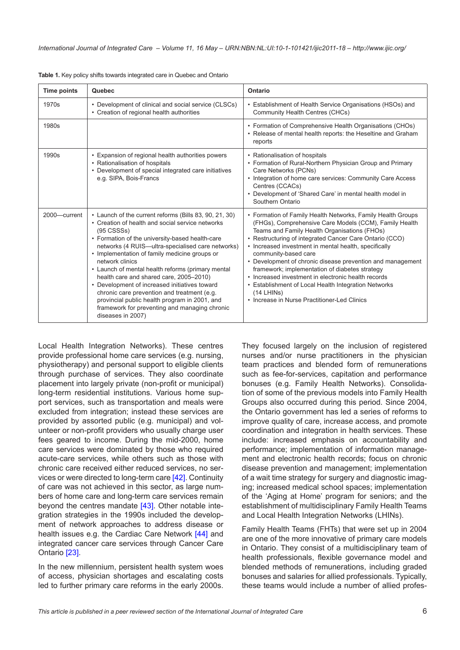| <b>Time points</b> | Quebec                                                                                                                                                                                                                                                                                                                                                                                                                                                                                                                                                                                                                        | Ontario                                                                                                                                                                                                                                                                                                                                                                                                                                                                                                                                                                                                        |
|--------------------|-------------------------------------------------------------------------------------------------------------------------------------------------------------------------------------------------------------------------------------------------------------------------------------------------------------------------------------------------------------------------------------------------------------------------------------------------------------------------------------------------------------------------------------------------------------------------------------------------------------------------------|----------------------------------------------------------------------------------------------------------------------------------------------------------------------------------------------------------------------------------------------------------------------------------------------------------------------------------------------------------------------------------------------------------------------------------------------------------------------------------------------------------------------------------------------------------------------------------------------------------------|
| 1970s              | • Development of clinical and social service (CLSCs)<br>• Creation of regional health authorities                                                                                                                                                                                                                                                                                                                                                                                                                                                                                                                             | • Establishment of Health Service Organisations (HSOs) and<br>Community Health Centres (CHCs)                                                                                                                                                                                                                                                                                                                                                                                                                                                                                                                  |
| 1980s              |                                                                                                                                                                                                                                                                                                                                                                                                                                                                                                                                                                                                                               | • Formation of Comprehensive Health Organisations (CHOs)<br>• Release of mental health reports: the Heseltine and Graham<br>reports                                                                                                                                                                                                                                                                                                                                                                                                                                                                            |
| 1990s              | • Expansion of regional health authorities powers<br>• Rationalisation of hospitals<br>• Development of special integrated care initiatives<br>e.g. SIPA, Bois-Francs                                                                                                                                                                                                                                                                                                                                                                                                                                                         | • Rationalisation of hospitals<br>• Formation of Rural-Northern Physician Group and Primary<br>Care Networks (PCNs)<br>• Integration of home care services: Community Care Access<br>Centres (CCACs)<br>• Development of 'Shared Care' in mental health model in<br>Southern Ontario                                                                                                                                                                                                                                                                                                                           |
| 2000-current       | • Launch of the current reforms (Bills 83, 90, 21, 30)<br>• Creation of health and social service networks<br>$(95$ CSSSs)<br>• Formation of the university-based health-care<br>networks (4 RUIS-ultra-specialised care networks)<br>• Implementation of family medicine groups or<br>network clinics<br>• Launch of mental health reforms (primary mental<br>health care and shared care, 2005-2010)<br>• Development of increased initiatives toward<br>chronic care prevention and treatment (e.g.<br>provincial public health program in 2001, and<br>framework for preventing and managing chronic<br>diseases in 2007) | • Formation of Family Health Networks, Family Health Groups<br>(FHGs), Comprehensive Care Models (CCM), Family Health<br>Teams and Family Health Organisations (FHOs)<br>• Restructuring of integrated Cancer Care Ontario (CCO)<br>• Increased investment in mental health, specifically<br>community-based care<br>• Development of chronic disease prevention and management<br>framework; implementation of diabetes strategy<br>• Increased investment in electronic health records<br>• Establishment of Local Health Integration Networks<br>(14 LHINs)<br>• Increase in Nurse Practitioner-Led Clinics |

<span id="page-5-0"></span>**Table 1.** Key policy shifts towards integrated care in Quebec and Ontario

Local Health Integration Networks). These centres provide professional home care services (e.g. nursing, physiotherapy) and personal support to eligible clients through purchase of services. They also coordinate placement into largely private (non-profit or municipal) long-term residential institutions. Various home support services, such as transportation and meals were excluded from integration; instead these services are provided by assorted public (e.g. municipal) and volunteer or non-profit providers who usually charge user fees geared to income. During the mid-2000, home care services were dominated by those who required acute-care services, while others such as those with chronic care received either reduced services, no services or were directed to long-term care [[42](#page-10-0)]. Continuity of care was not achieved in this sector, as large numbers of home care and long-term care services remain beyond the centres mandate  $[43]$  $[43]$ . Other notable integration strategies in the 1990s included the development of network approaches to address disease or health issues e.g. the Cardiac Care Network [\[44](#page-10-0)] and integrated cancer care services through Cancer Care Ontario [[23](#page-9-0)].

In the new millennium, persistent health system woes of access, physician shortages and escalating costs led to further primary care reforms in the early 2000s. They focused largely on the inclusion of registered nurses and/or nurse practitioners in the physician team practices and blended form of remunerations such as fee-for-services, capitation and performance bonuses (e.g. Family Health Networks). Consolidation of some of the previous models into Family Health Groups also occurred during this period. Since 2004, the Ontario government has led a series of reforms to improve quality of care, increase access, and promote coordination and integration in health services. These include: increased emphasis on accountability and performance; implementation of information management and electronic health records; focus on chronic disease prevention and management; implementation of a wait time strategy for surgery and diagnostic imaging; increased medical school spaces; implementation of the 'Aging at Home' program for seniors; and the establishment of multidisciplinary Family Health Teams and Local Health Integration Networks (LHINs).

Family Health Teams (FHTs) that were set up in 2004 are one of the more innovative of primary care models in Ontario. They consist of a multidisciplinary team of health professionals, flexible governance model and blended methods of remunerations, including graded bonuses and salaries for allied professionals. Typically, these teams would include a number of allied profes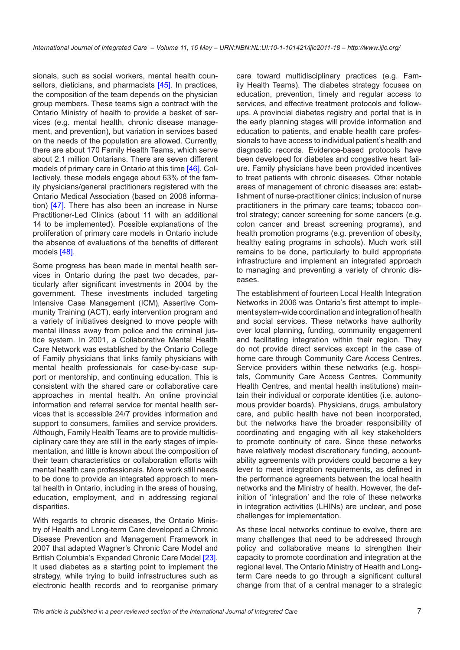sionals, such as social workers, mental health coun-sellors, dieticians, and pharmacists [[45\]](#page-10-0). In practices, the composition of the team depends on the physician group members. These teams sign a contract with the Ontario Ministry of health to provide a basket of services (e.g. mental health, chronic disease management, and prevention), but variation in services based on the needs of the population are allowed. Currently, there are about 170 Family Health Teams, which serve about 2.1 million Ontarians. There are seven different models of primary care in Ontario at this time [[46\]](#page-10-0). Collectively, these models engage about 63% of the family physicians/general practitioners registered with the Ontario Medical Association (based on 2008 information) [[47\]](#page-10-0). There has also been an increase in Nurse Practitioner-Led Clinics (about 11 with an additional 14 to be implemented). Possible explanations of the proliferation of primary care models in Ontario include the absence of evaluations of the benefits of different models [\[48](#page-10-0)].

Some progress has been made in mental health services in Ontario during the past two decades, particularly after significant investments in 2004 by the government. These investments included targeting Intensive Case Management (ICM), Assertive Community Training (ACT), early intervention program and a variety of initiatives designed to move people with mental illness away from police and the criminal justice system. In 2001, a Collaborative Mental Health Care Network was established by the Ontario College of Family physicians that links family physicians with mental health professionals for case-by-case support or mentorship, and continuing education. This is consistent with the shared care or collaborative care approaches in mental health. An online provincial information and referral service for mental health services that is accessible 24/7 provides information and support to consumers, families and service providers. Although, Family Health Teams are to provide multidisciplinary care they are still in the early stages of implementation, and little is known about the composition of their team characteristics or collaboration efforts with mental health care professionals. More work still needs to be done to provide an integrated approach to mental health in Ontario, including in the areas of housing, education, employment, and in addressing regional disparities.

With regards to chronic diseases, the Ontario Ministry of Health and Long-term Care developed a Chronic Disease Prevention and Management Framework in 2007 that adapted Wagner's Chronic Care Model and British Columbia's Expanded Chronic Care Model [\[23\]](#page-9-0). It used diabetes as a starting point to implement the strategy, while trying to build infrastructures such as electronic health records and to reorganise primary

care toward multidisciplinary practices (e.g. Family Health Teams). The diabetes strategy focuses on education, prevention, timely and regular access to services, and effective treatment protocols and followups. A provincial diabetes registry and portal that is in the early planning stages will provide information and education to patients, and enable health care professionals to have access to individual patient's health and diagnostic records. Evidence-based protocols have been developed for diabetes and congestive heart failure. Family physicians have been provided incentives to treat patients with chronic diseases. Other notable areas of management of chronic diseases are: establishment of nurse-practitioner clinics; inclusion of nurse practitioners in the primary care teams; tobacco control strategy; cancer screening for some cancers (e.g. colon cancer and breast screening programs), and health promotion programs (e.g. prevention of obesity, healthy eating programs in schools). Much work still remains to be done, particularly to build appropriate infrastructure and implement an integrated approach to managing and preventing a variety of chronic diseases.

The establishment of fourteen Local Health Integration Networks in 2006 was Ontario's first attempt to implement system-wide coordination and integration of health and social services. These networks have authority over local planning, funding, community engagement and facilitating integration within their region. They do not provide direct services except in the case of home care through Community Care Access Centres. Service providers within these networks (e.g. hospitals, Community Care Access Centres, Community Health Centres, and mental health institutions) maintain their individual or corporate identities (i.e. autonomous provider boards). Physicians, drugs, ambulatory care, and public health have not been incorporated, but the networks have the broader responsibility of coordinating and engaging with all key stakeholders to promote continuity of care. Since these networks have relatively modest discretionary funding, accountability agreements with providers could become a key lever to meet integration requirements, as defined in the performance agreements between the local health networks and the Ministry of health. However, the definition of 'integration' and the role of these networks in integration activities (LHINs) are unclear, and pose challenges for implementation.

As these local networks continue to evolve, there are many challenges that need to be addressed through policy and collaborative means to strengthen their capacity to promote coordination and integration at the regional level. The Ontario Ministry of Health and Longterm Care needs to go through a significant cultural change from that of a central manager to a strategic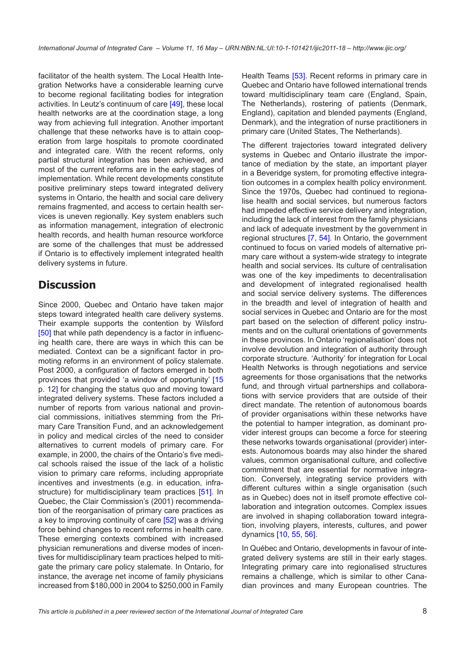facilitator of the health system. The Local Health Integration Networks have a considerable learning curve to become regional facilitating bodies for integration activities. In Leutz's continuum of care [\[49\]](#page-10-0), these local health networks are at the coordination stage, a long way from achieving full integration. Another important challenge that these networks have is to attain cooperation from large hospitals to promote coordinated and integrated care. With the recent reforms, only partial structural integration has been achieved, and most of the current reforms are in the early stages of implementation. While recent developments constitute positive preliminary steps toward integrated delivery systems in Ontario, the health and social care delivery remains fragmented, and access to certain health services is uneven regionally. Key system enablers such as information management, integration of electronic health records, and health human resource workforce are some of the challenges that must be addressed if Ontario is to effectively implement integrated health delivery systems in future.

## **Discussion**

Since 2000, Quebec and Ontario have taken major steps toward integrated health care delivery systems. Their example supports the contention by Wilsford [\[50\]](#page-10-0) that while path dependency is a factor in influencing health care, there are ways in which this can be mediated. Context can be a significant factor in promoting reforms in an environment of policy stalemate. Post 2000, a configuration of factors emerged in both provinces that provided 'a window of opportunity' [\[15](#page-9-0) p. 12] for changing the status quo and moving toward integrated delivery systems. These factors included a number of reports from various national and provincial commissions, initiatives stemming from the Primary Care Transition Fund, and an acknowledgement in policy and medical circles of the need to consider alternatives to current models of primary care. For example, in 2000, the chairs of the Ontario's five medical schools raised the issue of the lack of a holistic vision to primary care reforms, including appropriate incentives and investments (e.g. in education, infrastructure) for multidisciplinary team practices [[51](#page-10-0)]. In Quebec, the Clair Commission's (2001) recommendation of the reorganisation of primary care practices as a key to improving continuity of care [\[52](#page-10-0)] was a driving force behind changes to recent reforms in health care. These emerging contexts combined with increased physician remunerations and diverse modes of incentives for multidisciplinary team practices helped to mitigate the primary care policy stalemate. In Ontario, for instance, the average net income of family physicians increased from \$180,000 in 2004 to \$250,000 in Family Health Teams [\[53\]](#page-10-0). Recent reforms in primary care in Quebec and Ontario have followed international trends toward multidisciplinary team care (England, Spain, The Netherlands), rostering of patients (Denmark, England), capitation and blended payments (England, Denmark), and the integration of nurse practitioners in primary care (United States, The Netherlands).

The different trajectories toward integrated delivery systems in Quebec and Ontario illustrate the importance of mediation by the state, an important player in a Beveridge system, for promoting effective integration outcomes in a complex health policy environment. Since the 1970s, Quebec had continued to regionalise health and social services, but numerous factors had impeded effective service delivery and integration, including the lack of interest from the family physicians and lack of adequate investment by the government in regional structures [[7](#page-8-0), [54](#page-10-0)]. In Ontario, the government continued to focus on varied models of alternative primary care without a system-wide strategy to integrate health and social services. Its culture of centralisation was one of the key impediments to decentralisation and development of integrated regionalised health and social service delivery systems. The differences in the breadth and level of integration of health and social services in Quebec and Ontario are for the most part based on the selection of different policy instruments and on the cultural orientations of governments in these provinces. In Ontario 'regionalisation' does not involve devolution and integration of authority through corporate structure. 'Authority' for integration for Local Health Networks is through negotiations and service agreements for those organisations that the networks fund, and through virtual partnerships and collaborations with service providers that are outside of their direct mandate. The retention of autonomous boards of provider organisations within these networks have the potential to hamper integration, as dominant provider interest groups can become a force for steering these networks towards organisational (provider) interests. Autonomous boards may also hinder the shared values, common organisational culture, and collective commitment that are essential for normative integration. Conversely, integrating service providers with different cultures within a single organisation (such as in Quebec) does not in itself promote effective collaboration and integration outcomes. Complex issues are involved in shaping collaboration toward integration, involving players, interests, cultures, and power dynamics [[10](#page-8-0), [55, 56](#page-10-0)].

In Québec and Ontario, developments in favour of integrated delivery systems are still in their early stages. Integrating primary care into regionalised structures remains a challenge, which is similar to other Canadian provinces and many European countries. The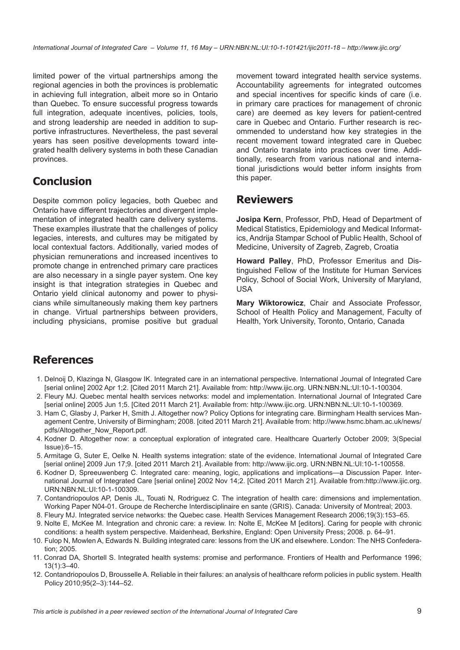<span id="page-8-0"></span>limited power of the virtual partnerships among the regional agencies in both the provinces is problematic in achieving full integration, albeit more so in Ontario than Quebec. To ensure successful progress towards full integration, adequate incentives, policies, tools, and strong leadership are needed in addition to supportive infrastructures. Nevertheless, the past several years has seen positive developments toward integrated health delivery systems in both these Canadian provinces.

# **Conclusion**

Despite common policy legacies, both Quebec and Ontario have different trajectories and divergent implementation of integrated health care delivery systems. These examples illustrate that the challenges of policy legacies, interests, and cultures may be mitigated by local contextual factors. Additionally, varied modes of physician remunerations and increased incentives to promote change in entrenched primary care practices are also necessary in a single payer system. One key insight is that integration strategies in Quebec and Ontario yield clinical autonomy and power to physicians while simultaneously making them key partners in change. Virtual partnerships between providers, including physicians, promise positive but gradual movement toward integrated health service systems. Accountability agreements for integrated outcomes and special incentives for specific kinds of care (i.e. in primary care practices for management of chronic care) are deemed as key levers for patient-centred care in Quebec and Ontario. Further research is recommended to understand how key strategies in the recent movement toward integrated care in Quebec and Ontario translate into practices over time. Additionally, research from various national and international jurisdictions would better inform insights from this paper.

#### **Reviewers**

**Josipa Kern**, Professor, PhD, Head of Department of Medical Statistics, Epidemiology and Medical Informatics, Andrija Stampar School of Public Health, School of Medicine, University of Zagreb, Zagreb, Croatia

**Howard Palley**, PhD, Professor Emeritus and Distinguished Fellow of the Institute for Human Services Policy, School of Social Work, University of Maryland, USA

**Mary Wiktorowicz**, Chair and Associate Professor, School of Health Policy and Management, Faculty of Health, York University, Toronto, Ontario, Canada

#### **References**

- 1. Delnoij D, Klazinga N, Glasgow IK. Integrated care in an international perspective. International Journal of Integrated Care [serial online] 2002 Apr 1;2. [Cited 2011 March 21]. Available from:<http://www.ijic.org>.<URN:NBN:NL:UI:10-1-100304>.
- 2. Fleury MJ. Quebec mental health services networks: model and implementation. International Journal of Integrated Care [serial online] 2005 Jun 1;5. [Cited 2011 March 21]. Available from:<http://www.ijic.org>.<URN:NBN:NL:UI:10-1-100369>.
- 3. Ham C, Glasby J, Parker H, Smith J. Altogether now? Policy Options for integrating care. Birmingham Health services Management Centre, University of Birmingham; 2008. [cited 2011 March 21]. Available from: [http://www.hsmc.bham.ac.uk/news/](http://www.hsmc.bham.ac.uk/news/pdfs/Altogether_Now_Report.pdf.) [pdfs/Altogether\\_Now\\_Report.pdf](http://www.hsmc.bham.ac.uk/news/pdfs/Altogether_Now_Report.pdf.).
- 4. Kodner D. Altogether now: a conceptual exploration of integrated care. Healthcare Quarterly October 2009; 3(Special Issue):6–15.
- 5. Armitage G, Suter E, Oelke N. Health systems integration: state of the evidence. International Journal of Integrated Care [serial online] 2009 Jun 17;9. [cited 2011 March 21]. Available from: [http://www.ijic.org.](http://www.ijic.org) [URN:NBN:NL:UI:10-1-100558.](URN:NBN:NL:UI:10-1-100558)
- 6. Kodner D, Spreeuwenberg C. Integrated care: meaning, logic, applications and implications—a Discussion Paper. International Journal of Integrated Care [serial online] 2002 Nov 14;2. [Cited 2011 March 21]. Available from[:http://www.ijic.org](http://www.ijic.org). [URN:NBN:NL:UI:10-1-100309.](URN:NBN:NL:UI:10-1-100309)
- 7. Contandriopoulos AP, Denis JL, Touati N, Rodriguez C. The integration of health care: dimensions and implementation. Working Paper N04-01. Groupe de Recherche Interdisciplinaire en sante (GRIS). Canada: University of Montreal; 2003.
- 8. Fleury MJ. Integrated service networks: the Quebec case. Health Services Management Research 2006;19(3):153–65.
- 9. Nolte E, McKee M. Integration and chronic care: a review. In: Nolte E, McKee M [editors]. Caring for people with chronic conditions: a health system perspective. Maidenhead, Berkshire, England: Open University Press; 2008. p. 64–91.
- 10. Fulop N, Mowlen A, Edwards N. Building integrated care: lessons from the UK and elsewhere. London: The NHS Confederation; 2005.
- 11. Conrad DA, Shortell S. Integrated health systems: promise and performance. Frontiers of Health and Performance 1996; 13(1):3–40.
- 12. Contandriopoulos D, Brousselle A. Reliable in their failures: an analysis of healthcare reform policies in public system. Health Policy 2010;95(2–3):144–52.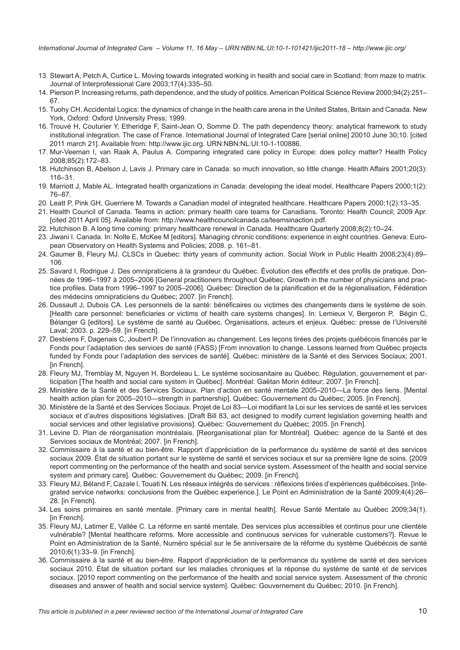- <span id="page-9-0"></span>13. Stewart A, Petch A, Curtice L. Moving towards integrated working in health and social care in Scotland: from maze to matrix. Journal of Interprofessional Care 2003;17(4):335–50.
- 14. Pierson P. Increasing returns, path dependence, and the study of politics. American Political Science Review 2000;94(2):251– 67.
- 15. Tuohy CH. Accidental Logics: the dynamics of change in the health care arena in the United States, Britain and Canada. New York, Oxford: Oxford University Press; 1999.
- 16. Trouvé H, Couturier Y, Etheridge F, Saint-Jean O, Somme D. The path dependency theory: analytical framework to study institutional integration. The case of France. International Journal of Integrated Care [serial online] 20010 June 30;10. [cited 2011 march 21]. Available from: [http://www.ijic.org.](http://www.ijic.org) [URN:NBN:NL:UI:10-1-100886.](URN:NBN:NL:UI:10-1-100886)
- 17. Mur-Veeman I, van Raak A, Paulus A. Comparing integrated care policy in Europe: does policy matter? Health Policy 2008;85(2):172–83.
- 18. Hutchinson B, Abelson J, Lavis J. Primary care in Canada: so much innovation, so little change. Health Affairs 2001;20(3): 116–31.
- 19. Marriott J, Mable AL. Integrated health organizations in Canada: developing the ideal model. Healthcare Papers 2000;1(2): 76–87.
- 20. Leatt P, Pink GH, Guerriere M. Towards a Canadian model of integrated healthcare. Healthcare Papers 2000;1(2):13–35.
- 21. Health Council of Canada. Teams in action: primary health care teams for Canadians. Toronto: Health Council; 2009 Apr. [cited 2011 April 05]. Available from:<http://www.healthcouncilcanada.ca/teamsinaction.pdf>.
- 22. Hutchison B. A long time coming: primary healthcare renewal in Canada. Healthcare Quarterly 2008;8(2):10–24.
- 23. Jiwani I. Canada. In: Nolte E, McKee M [editors]. Managing chronic conditions: experience in eight countries. Geneva: European Observatory on Health Systems and Policies; 2008. p. 161–81.
- 24. Gaumer B, Fleury MJ. CLSCs in Quebec: thirty years of community action. Social Work in Public Health 2008;23(4):89– 106.
- 25. Savard I, Rodrigue J. Des omnipraticiens à la grandeur du Québec. Évolution des effectifs et des profils de pratique. Données de 1996–1997 à 2005–2006 [General practitioners throughout Québec. Growth in the number of physicians and practice profiles. Data from 1996–1997 to 2005–2006]. Québec: Direction de la planification et de la régionalisation, Fédération des médecins omnipraticiens du Québec; 2007. [in French].
- 26. Dussault J, Dubois CA. Les personnels de la santé: bénéficaires ou victimes des changements dans le système de soin. [Health care personnel: beneficiaries or victims of health care systems changes]. In: Lemieux V, Bergeron P, Bégin C, Bélanger G [editors]. Le système de santé au Québec. Organisations, acteurs et enjeux. Québec: presse de l'Université Laval; 2003. p. 229–59. [in French].
- 27. Desbiens F, Dagenais C, Joubert P. De l'innovation au changement. Les leçons tirées des projets québécois financés par le Fonds pour l'adaptation des services de santé (FASS) [From innovation to change. Lessons learned from Québec projects funded by Fonds pour l'adaptation des services de santé]. Québec: ministère de la Santé et des Services Sociaux; 2001. [in French].
- 28. Fleury MJ, Tremblay M, Nguyen H, Bordeleau L. Le système sociosanitaire au Québec. Régulation, gouvernement et participation [The health and social care system in Québec]. Montréal: Gaëtan Morin éditeur; 2007. [in French].
- 29. Ministère de la Santé et des Services Sociaux. Plan d'action en santé mentale 2005–2010—La force des liens. [Mental health action plan for 2005–2010—strength in partnership]. Québec: Gouvernement du Québec; 2005. [in French].
- 30. Ministère de la Santé et des Services Sociaux. Projet de Loi 83—Loi modifiant la Loi sur les services de santé et les services sociaux et d'autres dispositions législatives. [Draft Bill 83, act designed to modify current legislation governing health and social services and other legislative provisions]. Québec: Gouvernement du Québec; 2005. [in French].
- 31. Levine D. Plan de réorganisation montréalais. [Reorganisational plan for Montréal]. Québec: agence de la Santé et des Services sociaux de Montréal; 2007. [in French].
- 32. Commissaire à la santé et au bien-être. Rapport d'appréciation de la performance du système de santé et des services sociaux 2009. État de situation portant sur le système de santé et services sociaux et sur sa première ligne de soins. [2009 report commenting on the performance of the health and social service system. Assessment of the health and social service system and primary care]. Québec: Gouvernement du Québec; 2009. [in French].
- 33. Fleury MJ, Béland F, Cazale l, Touati N. Les réseaux intégrés de services : réflexions tirées d'expériences québécoises. [Integrated service networks: conclusions from the Québec experience.]. Le Point en Administration de la Santé 2009;4(4):26– 28. [in French].
- 34. Les soins primaires en santé mentale. [Primary care in mental health]. Revue Santé Mentale au Québec 2009;34(1). [in French].
- 35. Fleury MJ, Latimer E, Vallée C. La réforme en santé mentale. Des services plus accessibles et continus pour une clientèle vulnérable? [Mental healthcare reforms. More accessible and continuous services for vulnerable customers?]. Revue le Point en Administration de la Santé, Numéro spécial sur le 5e anniversaire de la réforme du système Québécois de santé 2010;6(1):33–9. [in French].
- 36. Commissaire à la santé et au bien-être. Rapport d'appréciation de la performance du système de santé et des services sociaux 2010. État de situation portant sur les maladies chroniques et la réponse du système de santé et de services sociaux. [2010 report commenting on the performance of the health and social service system. Assessment of the chronic diseases and answer of health and social service system]. Québec: Gouvernement du Québec; 2010. [in French].